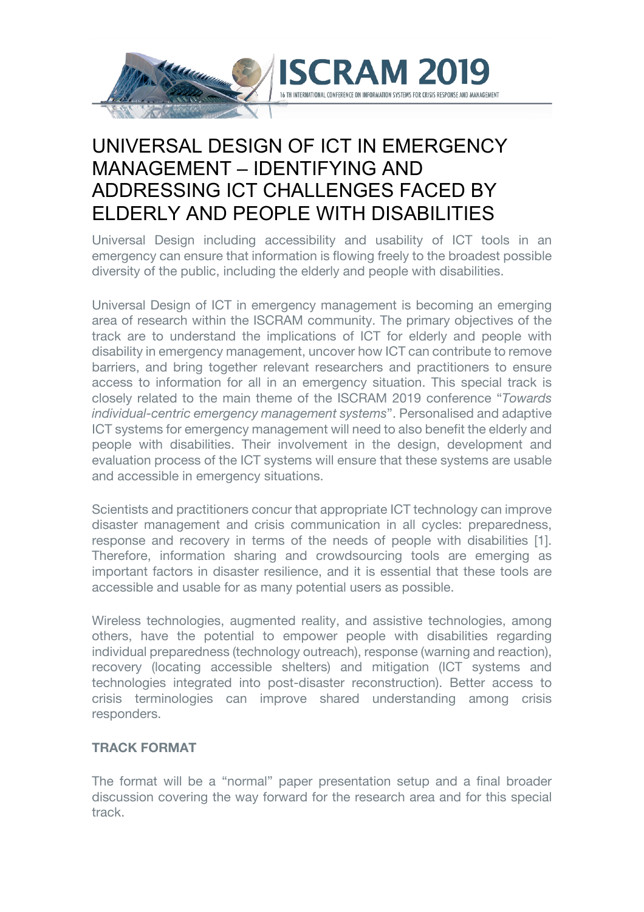

## UNIVERSAL DESIGN OF ICT IN EMERGENCY MANAGEMENT – IDENTIFYING AND ADDRESSING ICT CHALLENGES FACED BY ELDERLY AND PEOPLE WITH DISABILITIES

Universal Design including accessibility and usability of ICT tools in an emergency can ensure that information is flowing freely to the broadest possible diversity of the public, including the elderly and people with disabilities.

Universal Design of ICT in emergency management is becoming an emerging area of research within the ISCRAM community. The primary objectives of the track are to understand the implications of ICT for elderly and people with disability in emergency management, uncover how ICT can contribute to remove barriers, and bring together relevant researchers and practitioners to ensure access to information for all in an emergency situation. This special track is closely related to the main theme of the ISCRAM 2019 conference "*Towards individual-centric emergency management systems*". Personalised and adaptive ICT systems for emergency management will need to also benefit the elderly and people with disabilities. Their involvement in the design, development and evaluation process of the ICT systems will ensure that these systems are usable and accessible in emergency situations.

Scientists and practitioners concur that appropriate ICT technology can improve disaster management and crisis communication in all cycles: preparedness, response and recovery in terms of the needs of people with disabilities [1]. Therefore, information sharing and crowdsourcing tools are emerging as important factors in disaster resilience, and it is essential that these tools are accessible and usable for as many potential users as possible.

Wireless technologies, augmented reality, and assistive technologies, among others, have the potential to empower people with disabilities regarding individual preparedness (technology outreach), response (warning and reaction), recovery (locating accessible shelters) and mitigation (ICT systems and technologies integrated into post-disaster reconstruction). Better access to crisis terminologies can improve shared understanding among crisis responders.

## **TRACK FORMAT**

The format will be a "normal" paper presentation setup and a final broader discussion covering the way forward for the research area and for this special track.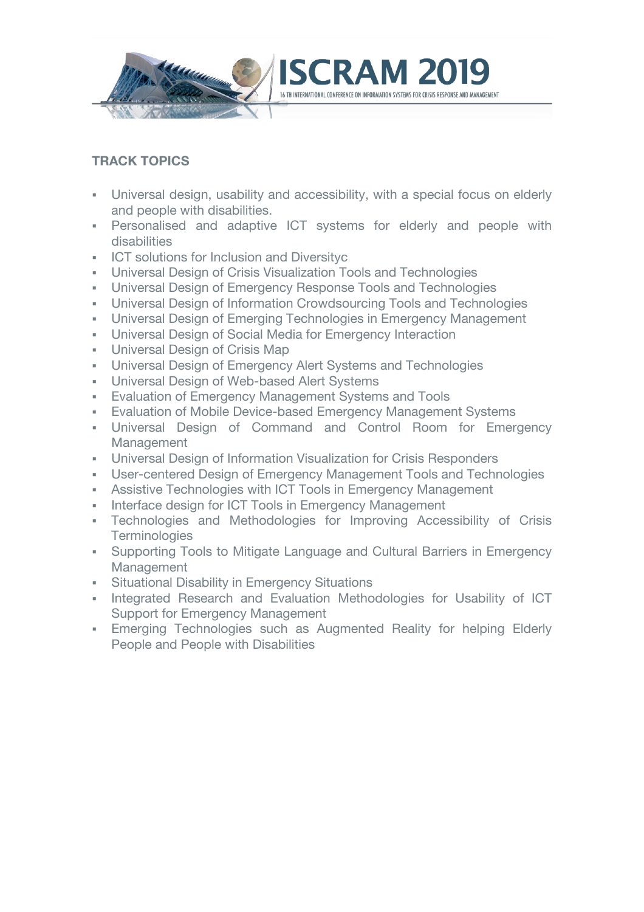

## **TRACK TOPICS**

- Universal design, usability and accessibility, with a special focus on elderly and people with disabilities.
- § Personalised and adaptive ICT systems for elderly and people with disabilities
- **EXECT** solutions for Inclusion and Diversityc
- § Universal Design of Crisis Visualization Tools and Technologies
- § Universal Design of Emergency Response Tools and Technologies
- § Universal Design of Information Crowdsourcing Tools and Technologies
- § Universal Design of Emerging Technologies in Emergency Management
- § Universal Design of Social Media for Emergency Interaction
- **Universal Design of Crisis Map**
- § Universal Design of Emergency Alert Systems and Technologies
- **Universal Design of Web-based Alert Systems**
- Evaluation of Emergency Management Systems and Tools
- **Evaluation of Mobile Device-based Emergency Management Systems**
- § Universal Design of Command and Control Room for Emergency Management
- § Universal Design of Information Visualization for Crisis Responders
- § User-centered Design of Emergency Management Tools and Technologies
- **Assistive Technologies with ICT Tools in Emergency Management**
- Interface design for ICT Tools in Emergency Management
- § Technologies and Methodologies for Improving Accessibility of Crisis **Terminologies**
- Supporting Tools to Mitigate Language and Cultural Barriers in Emergency Management
- **Situational Disability in Emergency Situations**
- Integrated Research and Evaluation Methodologies for Usability of ICT Support for Emergency Management
- **Emerging Technologies such as Augmented Reality for helping Elderly** People and People with Disabilities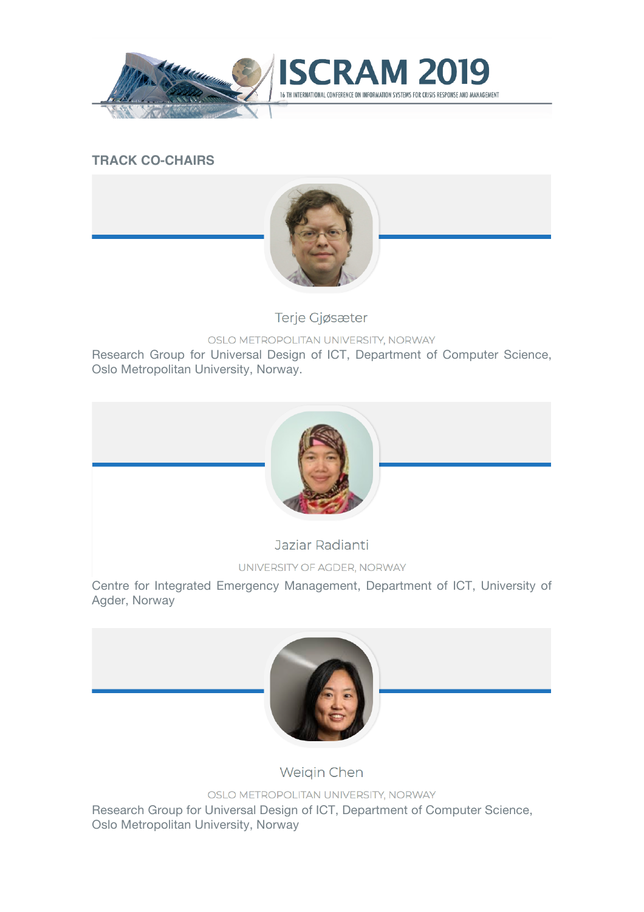



## **TRACK CO-CHAIRS**



Terje Gjøsæter

OSLO METROPOLITAN UNIVERSITY, NORWAY

Research Group for Universal Design of ICT, Department of Computer Science, Oslo Metropolitan University, Norway.



Jaziar Radianti

UNIVERSITY OF AGDER, NORWAY

Centre for Integrated Emergency Management, Department of ICT, University of Agder, Norway



Weigin Chen

OSLO METROPOLITAN UNIVERSITY, NORWAY

Research Group for Universal Design of ICT, Department of Computer Science, Oslo Metropolitan University, Norway